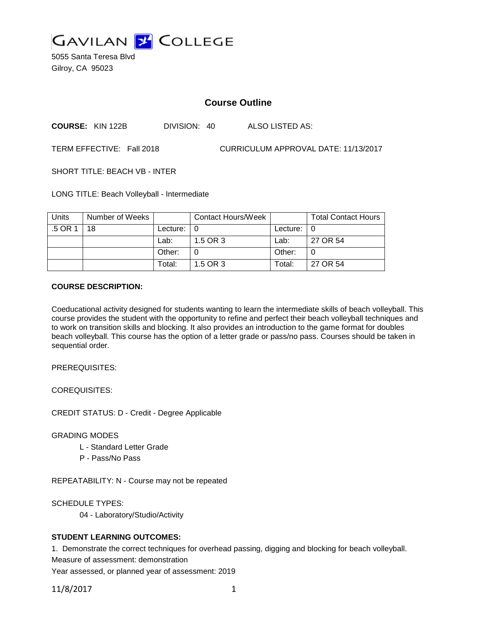

5055 Santa Teresa Blvd Gilroy, CA 95023

# **Course Outline**

**COURSE:** KIN 122B DIVISION: 40 ALSO LISTED AS:

TERM EFFECTIVE: Fall 2018 CURRICULUM APPROVAL DATE: 11/13/2017

SHORT TITLE: BEACH VB - INTER

LONG TITLE: Beach Volleyball - Intermediate

| <b>Units</b> | Number of Weeks |                    | Contact Hours/Week |                    | <b>Total Contact Hours</b> |
|--------------|-----------------|--------------------|--------------------|--------------------|----------------------------|
| .5 OR 1      | 18              | Lecture: $\vert 0$ |                    | Lecture: $\vert 0$ |                            |
|              |                 | Lab:               | 1.5 OR 3           | Lab:               | 27 OR 54                   |
|              |                 | Other:             |                    | Other:             |                            |
|              |                 | Total:             | 1.5 OR 3           | Total:             | 27 OR 54                   |

### **COURSE DESCRIPTION:**

Coeducational activity designed for students wanting to learn the intermediate skills of beach volleyball. This course provides the student with the opportunity to refine and perfect their beach volleyball techniques and to work on transition skills and blocking. It also provides an introduction to the game format for doubles beach volleyball. This course has the option of a letter grade or pass/no pass. Courses should be taken in sequential order.

PREREQUISITES:

COREQUISITES:

CREDIT STATUS: D - Credit - Degree Applicable

GRADING MODES

- L Standard Letter Grade
- P Pass/No Pass

REPEATABILITY: N - Course may not be repeated

SCHEDULE TYPES:

04 - Laboratory/Studio/Activity

# **STUDENT LEARNING OUTCOMES:**

1. Demonstrate the correct techniques for overhead passing, digging and blocking for beach volleyball. Measure of assessment: demonstration

Year assessed, or planned year of assessment: 2019

11/8/2017 1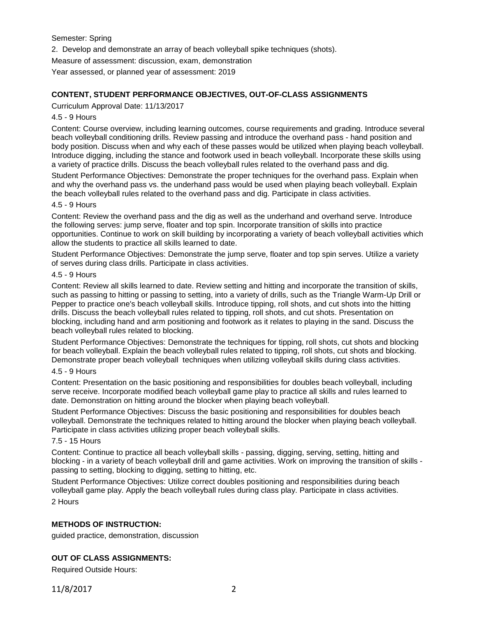Semester: Spring

2. Develop and demonstrate an array of beach volleyball spike techniques (shots).

Measure of assessment: discussion, exam, demonstration

Year assessed, or planned year of assessment: 2019

# **CONTENT, STUDENT PERFORMANCE OBJECTIVES, OUT-OF-CLASS ASSIGNMENTS**

Curriculum Approval Date: 11/13/2017

### 4.5 - 9 Hours

Content: Course overview, including learning outcomes, course requirements and grading. Introduce several beach volleyball conditioning drills. Review passing and introduce the overhand pass - hand position and body position. Discuss when and why each of these passes would be utilized when playing beach volleyball. Introduce digging, including the stance and footwork used in beach volleyball. Incorporate these skills using a variety of practice drills. Discuss the beach volleyball rules related to the overhand pass and dig.

Student Performance Objectives: Demonstrate the proper techniques for the overhand pass. Explain when and why the overhand pass vs. the underhand pass would be used when playing beach volleyball. Explain the beach volleyball rules related to the overhand pass and dig. Participate in class activities.

### 4.5 - 9 Hours

Content: Review the overhand pass and the dig as well as the underhand and overhand serve. Introduce the following serves: jump serve, floater and top spin. Incorporate transition of skills into practice opportunities. Continue to work on skill building by incorporating a variety of beach volleyball activities which allow the students to practice all skills learned to date.

Student Performance Objectives: Demonstrate the jump serve, floater and top spin serves. Utilize a variety of serves during class drills. Participate in class activities.

# 4.5 - 9 Hours

Content: Review all skills learned to date. Review setting and hitting and incorporate the transition of skills, such as passing to hitting or passing to setting, into a variety of drills, such as the Triangle Warm-Up Drill or Pepper to practice one's beach volleyball skills. Introduce tipping, roll shots, and cut shots into the hitting drills. Discuss the beach volleyball rules related to tipping, roll shots, and cut shots. Presentation on blocking, including hand and arm positioning and footwork as it relates to playing in the sand. Discuss the beach volleyball rules related to blocking.

Student Performance Objectives: Demonstrate the techniques for tipping, roll shots, cut shots and blocking for beach volleyball. Explain the beach volleyball rules related to tipping, roll shots, cut shots and blocking. Demonstrate proper beach volleyball techniques when utilizing volleyball skills during class activities.

#### 4.5 - 9 Hours

Content: Presentation on the basic positioning and responsibilities for doubles beach volleyball, including serve receive. Incorporate modified beach volleyball game play to practice all skills and rules learned to date. Demonstration on hitting around the blocker when playing beach volleyball.

Student Performance Objectives: Discuss the basic positioning and responsibilities for doubles beach volleyball. Demonstrate the techniques related to hitting around the blocker when playing beach volleyball. Participate in class activities utilizing proper beach volleyball skills.

#### 7.5 - 15 Hours

Content: Continue to practice all beach volleyball skills - passing, digging, serving, setting, hitting and blocking - in a variety of beach volleyball drill and game activities. Work on improving the transition of skills passing to setting, blocking to digging, setting to hitting, etc.

Student Performance Objectives: Utilize correct doubles positioning and responsibilities during beach volleyball game play. Apply the beach volleyball rules during class play. Participate in class activities. 2 Hours

# **METHODS OF INSTRUCTION:**

guided practice, demonstration, discussion

# **OUT OF CLASS ASSIGNMENTS:**

Required Outside Hours: